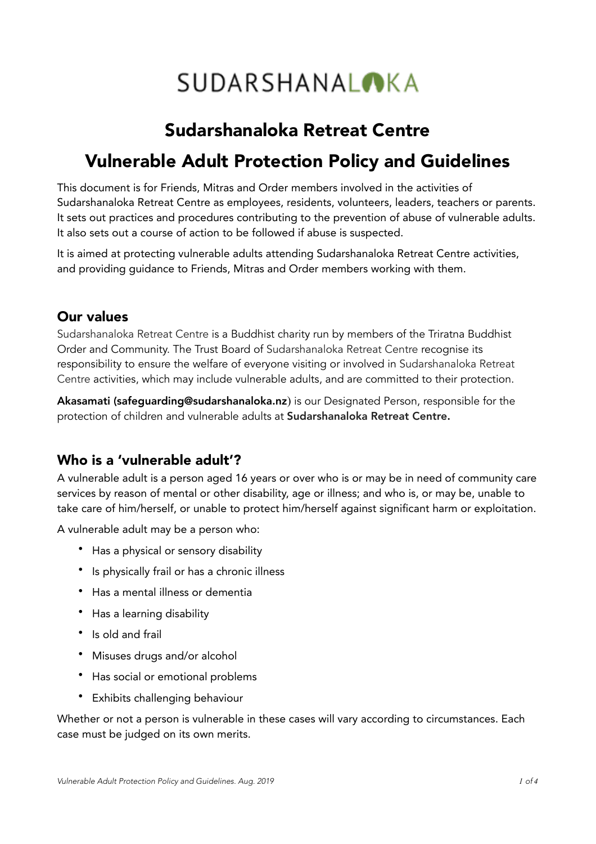# **SUDARSHANALOKA**

# Sudarshanaloka Retreat Centre

# Vulnerable Adult Protection Policy and Guidelines

This document is for Friends, Mitras and Order members involved in the activities of Sudarshanaloka Retreat Centre as employees, residents, volunteers, leaders, teachers or parents. It sets out practices and procedures contributing to the prevention of abuse of vulnerable adults. It also sets out a course of action to be followed if abuse is suspected.

It is aimed at protecting vulnerable adults attending Sudarshanaloka Retreat Centre activities, and providing guidance to Friends, Mitras and Order members working with them.

#### Our values

Sudarshanaloka Retreat Centre is a Buddhist charity run by members of the Triratna Buddhist Order and Community. The Trust Board of Sudarshanaloka Retreat Centre recognise its responsibility to ensure the welfare of everyone visiting or involved in Sudarshanaloka Retreat Centre activities, which may include vulnerable adults, and are committed to their protection.

Akasamati (safeguarding@sudarshanaloka.nz) is our Designated Person, responsible for the protection of children and vulnerable adults at Sudarshanaloka Retreat Centre.

#### Who is a 'vulnerable adult'?

A vulnerable adult is a person aged 16 years or over who is or may be in need of community care services by reason of mental or other disability, age or illness; and who is, or may be, unable to take care of him/herself, or unable to protect him/herself against significant harm or exploitation.

A vulnerable adult may be a person who:

- Has a physical or sensory disability
- Is physically frail or has a chronic illness
- Has a mental illness or dementia
- Has a learning disability
- Is old and frail
- Misuses drugs and/or alcohol
- Has social or emotional problems
- Exhibits challenging behaviour

Whether or not a person is vulnerable in these cases will vary according to circumstances. Each case must be judged on its own merits.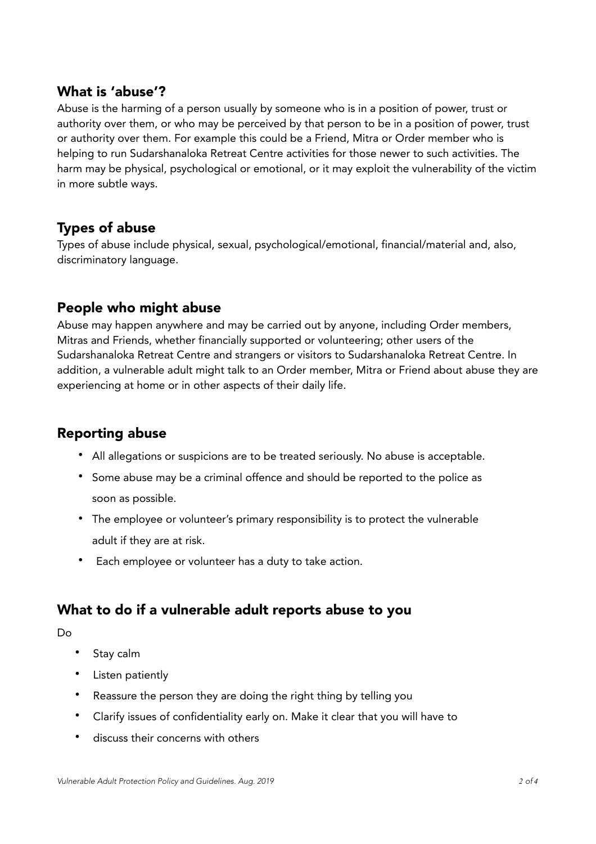#### What is 'abuse'?

Abuse is the harming of a person usually by someone who is in a position of power, trust or authority over them, or who may be perceived by that person to be in a position of power, trust or authority over them. For example this could be a Friend, Mitra or Order member who is helping to run Sudarshanaloka Retreat Centre activities for those newer to such activities. The harm may be physical, psychological or emotional, or it may exploit the vulnerability of the victim in more subtle ways.

## Types of abuse

Types of abuse include physical, sexual, psychological/emotional, financial/material and, also, discriminatory language.

#### People who might abuse

Abuse may happen anywhere and may be carried out by anyone, including Order members, Mitras and Friends, whether financially supported or volunteering; other users of the Sudarshanaloka Retreat Centre and strangers or visitors to Sudarshanaloka Retreat Centre. In addition, a vulnerable adult might talk to an Order member, Mitra or Friend about abuse they are experiencing at home or in other aspects of their daily life.

## Reporting abuse

- All allegations or suspicions are to be treated seriously. No abuse is acceptable.
- Some abuse may be a criminal offence and should be reported to the police as soon as possible.
- The employee or volunteer's primary responsibility is to protect the vulnerable adult if they are at risk.
- Each employee or volunteer has a duty to take action.

## What to do if a vulnerable adult reports abuse to you

Do

- Stay calm
- Listen patiently
- Reassure the person they are doing the right thing by telling you
- Clarify issues of confidentiality early on. Make it clear that you will have to
- discuss their concerns with others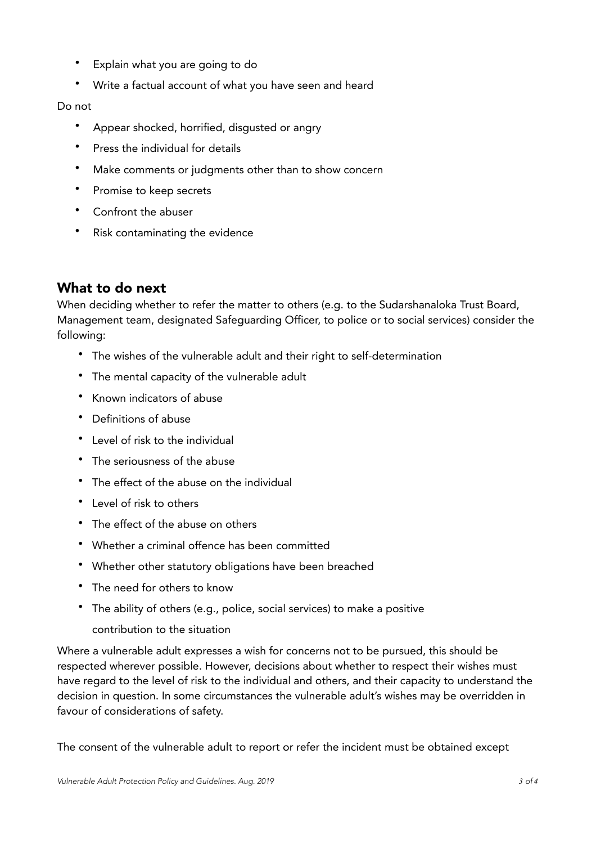- Explain what you are going to do
- Write a factual account of what you have seen and heard

#### Do not

- Appear shocked, horrified, disgusted or angry
- Press the individual for details
- Make comments or judgments other than to show concern
- Promise to keep secrets
- Confront the abuser
- Risk contaminating the evidence

## What to do next

When deciding whether to refer the matter to others (e.g. to the Sudarshanaloka Trust Board, Management team, designated Safeguarding Officer, to police or to social services) consider the following:

- The wishes of the vulnerable adult and their right to self-determination
- The mental capacity of the vulnerable adult
- Known indicators of abuse
- Definitions of abuse
- Level of risk to the individual
- The seriousness of the abuse
- The effect of the abuse on the individual
- Level of risk to others
- The effect of the abuse on others
- Whether a criminal offence has been committed
- Whether other statutory obligations have been breached
- The need for others to know
- The ability of others (e.g., police, social services) to make a positive

#### contribution to the situation

Where a vulnerable adult expresses a wish for concerns not to be pursued, this should be respected wherever possible. However, decisions about whether to respect their wishes must have regard to the level of risk to the individual and others, and their capacity to understand the decision in question. In some circumstances the vulnerable adult's wishes may be overridden in favour of considerations of safety.

The consent of the vulnerable adult to report or refer the incident must be obtained except